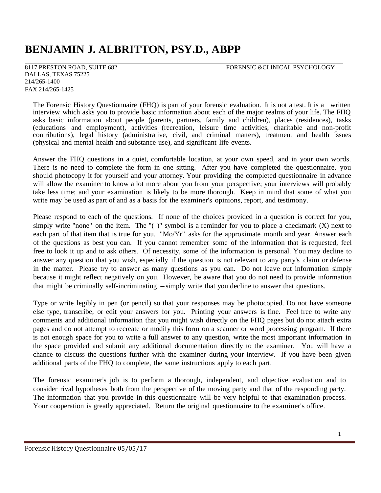# **BENJAMIN J. ALBRITTON, PSY.D., ABPP**

DALLAS, TEXAS 75225 214/265-1400 FAX 214/265-1425

8117 PRESTON ROAD, SUITE 682 FORENSIC &CLINICAL PSYCHOLOGY

The Forensic History Questionnaire (FHQ) is part of your forensic evaluation. It is not a test. It is a written interview which asks you to provide basic information about each of the major realms of your life. The FHQ asks basic information about people (parents, partners, family and children), places (residences), tasks (educations and employment), activities (recreation, leisure time activities, charitable and non-profit contributions), legal history (administrative, civil, and criminal matters), treatment and health issues (physical and mental health and substance use), and significant life events.

Answer the FHQ questions in a quiet, comfortable location, at your own speed, and in your own words. There is no need to complete the form in one sitting. After you have completed the questionnaire, you should photocopy it for yourself and your attorney. Your providing the completed questionnaire in advance will allow the examiner to know a lot more about you from your perspective; your interviews will probably take less time; and your examination is likely to be more thorough. Keep in mind that some of what you write may be used as part of and as a basis for the examiner's opinions, report, and testimony.

Please respond to each of the questions. If none of the choices provided in a question is correct for you, simply write "none" on the item. The " $( )$ " symbol is a reminder for you to place a checkmark  $( X )$  next to each part of that item that is true for you. "Mo/Yr" asks for the approximate month and year. Answer each of the questions as best you can. If you cannot remember some of the information that is requested, feel free to look it up and to ask others. Of necessity, some of the information is personal. You may decline to answer any question that you wish, especially if the question is not relevant to any party's claim or defense in the matter. Please try to answer as many questions as you can. Do not leave out information simply because it might reflect negatively on you. However, be aware that you do not need to provide information that might be criminally self-incriminating - simply write that you decline to answer that questions.

Type or write legibly in pen (or pencil) so that your responses may be photocopied. Do not have someone else type, transcribe, or edit your answers for you. Printing your answers is fine. Feel free to write any comments and additional information that you might wish directly on the FHQ pages but do not attach extra pages and do not attempt to recreate or modify this form on a scanner or word processing program. If there is not enough space for you to write a full answer to any question, write the most important information in the space provided and submit any additional documentation directly to the examiner. You will have a chance to discuss the questions further with the examiner during your interview. If you have been given additional parts of the FHQ to complete, the same instructions apply to each part.

The forensic examiner's job is to perform a thorough, independent, and objective evaluation and to consider rival hypotheses both from the perspective of the moving party and that of the responding party. The information that you provide in this questionnaire will be very helpful to that examination process. Your cooperation is greatly appreciated. Return the original questionnaire to the examiner's office.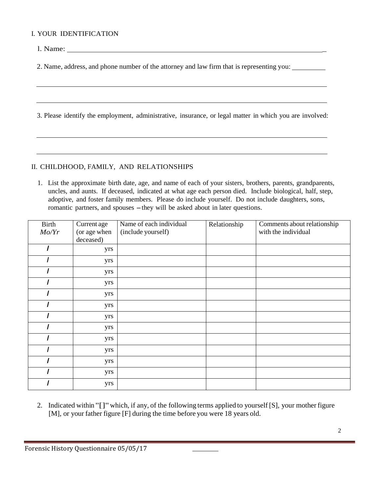#### I. YOUR IDENTIFICATION

l. Name:

2. Name, address, and phone number of the attorney and law firm that is representing you:

3. Please identify the employment, administrative, insurance, or legal matter in which you are involved:

## II. CHILDHOOD, FAMILY, AND RELATIONSHIPS

1. List the approximate birth date, age, and name of each of your sisters, brothers, parents, grandparents, uncles, and aunts. If deceased, indicated at what age each person died. Include biological, half, step, adoptive, and foster family members. Please do include yourself. Do not include daughters, sons, romantic partners, and spouses – they will be asked about in later questions.

| <b>Birth</b> | Current age               | Name of each individual | Relationship | Comments about relationship |
|--------------|---------------------------|-------------------------|--------------|-----------------------------|
| Mo/Yr        | (or age when<br>deceased) | (include yourself)      |              | with the individual         |
|              | yrs                       |                         |              |                             |
|              |                           |                         |              |                             |
|              | yrs                       |                         |              |                             |
|              | yrs                       |                         |              |                             |
|              | yrs                       |                         |              |                             |
|              | yrs                       |                         |              |                             |
|              | yrs                       |                         |              |                             |
|              | yrs                       |                         |              |                             |
|              | yrs                       |                         |              |                             |
|              | yrs                       |                         |              |                             |
|              | yrs                       |                         |              |                             |
|              | yrs                       |                         |              |                             |
|              | yrs                       |                         |              |                             |
|              | yrs                       |                         |              |                             |

2. Indicated within "[]"which, if any, of the following terms applied to yourself [S], your mother figure [M], or your father figure [F] during the time before you were 18 years old.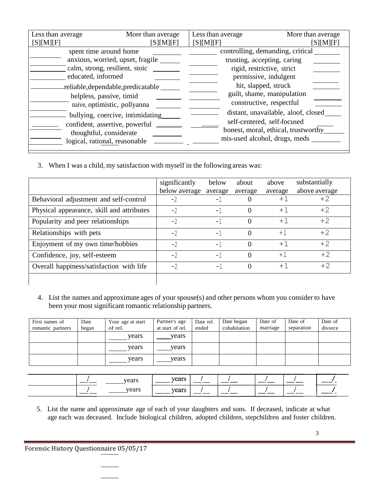| Less than average                  | More than average                | Less than average | More than average                   |
|------------------------------------|----------------------------------|-------------------|-------------------------------------|
| [S][M][F]                          | [S][M][F]                        | [S][M][F]         | [S][M][F]                           |
| spent time around home             |                                  |                   | controlling, demanding, critical    |
| anxious, worried, upset, fragile   |                                  |                   | trusting, accepting, caring         |
| calm, strong, resilient, stoic     |                                  |                   | rigid, restrictive, strict          |
| educated, informed                 |                                  |                   | permissive, indulgent               |
| reliable, dependable, predicatable |                                  |                   | hit, slapped, struck                |
| helpless, passive, timid           |                                  |                   | guilt, shame, manipulation          |
| naive, optimistic, pollyanna       |                                  |                   | constructive, respectful            |
|                                    | bullying, coercive, intimidating |                   | distant, unavailable, aloof, closed |
| confident, assertive, powerful     |                                  |                   | self-centered, self-focused         |
| thoughtful, considerate            |                                  |                   | honest, moral, ethical, trustworthy |
| logical, rational, reasonable      |                                  |                   | mis-used alcohol, drugs, meds       |

3. When I was a child, my satisfaction with myself in the following areas was:

|                                           | significantly | below   | about    | above       | substantially |
|-------------------------------------------|---------------|---------|----------|-------------|---------------|
|                                           | below average | average | average  | average     | above average |
| Behavioral adjustment and self-control    | $-2$          | $-1$    | $\Omega$ | $+^{\circ}$ | $+2$          |
| Physical appearance, skill and attributes | $-2$          | $-1$    | 0        | $+1$        | $+2$          |
| Popularity and peer relationships         | $-2$          | $-1$    | 0        | $+1$        | $+2$          |
| Relationships with pets                   | $-2$          | $-1$    | 0        | $+1$        | $+2$          |
| Enjoyment of my own time/hobbies          | $-2$          | $-1$    | 0        | $+1$        | $+2$          |
| Confidence, joy, self-esteem              | $-2$          | $-1$    | 0        | $+1$        | $+2$          |
| Overall happiness/satisfaction with life  | $-2$          | $-1$    | $\Omega$ | $+1$        | $+2$          |
|                                           |               |         |          |             |               |

4. List the names and approximate ages of your spouse(s) and other persons whom you consider to have been your most significant romantic relationship partners.

| First names of    | Date  | Your age at start | Partner's age    | Date rel. | Date began   | Date of  | Date of    | Date of |
|-------------------|-------|-------------------|------------------|-----------|--------------|----------|------------|---------|
| romantic partners | began | of rel.           | at start of rel. | ended     | cohabitation | marriage | separation | divorce |
|                   |       | vears             | vears            |           |              |          |            |         |
|                   |       | years             | vears            |           |              |          |            |         |
|                   |       | vears             | vears            |           |              |          |            |         |

| ___    | vears | T/OOPC<br>сагэ<br>____________________ | ____<br>______          |                | ______<br>________ | ______   | .<br>__________ |
|--------|-------|----------------------------------------|-------------------------|----------------|--------------------|----------|-----------------|
| ______ | vears | years                                  | ---------<br>---------- | _____<br>$  -$ | ______<br>-------  | -------- | _______         |

5. List the name and approximate age of each of your daughters and sons. If deceased, indicate at what age each was deceased. Include biological children, adopted children, stepchildren and foster children.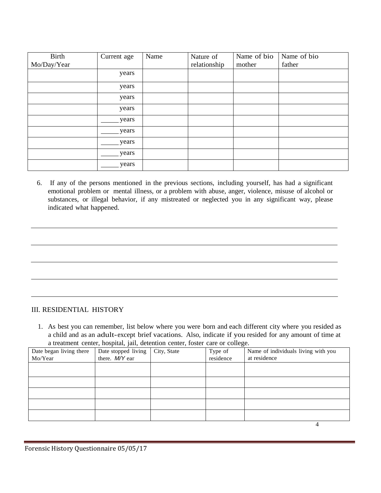| Birth       | Current age | Name | Nature of    | Name of bio | Name of bio |
|-------------|-------------|------|--------------|-------------|-------------|
| Mo/Day/Year |             |      | relationship | mother      | father      |
|             | years       |      |              |             |             |
|             | years       |      |              |             |             |
|             | years       |      |              |             |             |
|             | years       |      |              |             |             |
|             | years       |      |              |             |             |
|             | years       |      |              |             |             |
|             | years       |      |              |             |             |
|             | years       |      |              |             |             |
|             | years       |      |              |             |             |

6. If any of the persons mentioned in the previous sections, including yourself, has had a significant emotional problem or mental illness, or a problem with abuse, anger, violence, misuse of alcohol or substances, or illegal behavior, if any mistreated or neglected you in any significant way, please indicated what happened.

## III. RESIDENTIAL HISTORY

1. As best you can remember, list below where you were born and each different city where you resided as a child and as an adult-except brief vacations. Also, indicate if you resided for any amount of time at a treatment center, hospital, jail, detention center, foster care or college.

| Date began living there | Date stopped living | City, State | Type of   | Name of individuals living with you |
|-------------------------|---------------------|-------------|-----------|-------------------------------------|
| Mo/Year                 | there. M/Y ear      |             | residence | at residence                        |
|                         |                     |             |           |                                     |
|                         |                     |             |           |                                     |
|                         |                     |             |           |                                     |
|                         |                     |             |           |                                     |
|                         |                     |             |           |                                     |
|                         |                     |             |           |                                     |
|                         |                     |             |           |                                     |
|                         |                     |             |           |                                     |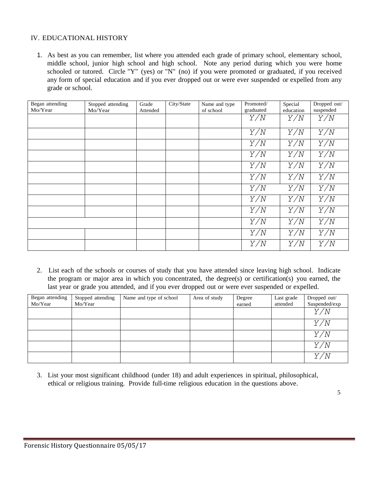## IV. EDUCATIONAL HISTORY

1. As best as you can remember, list where you attended each grade of primary school, elementary school, middle school, junior high school and high school. Note any period during which you were home schooled or tutored. Circle "Y" (yes) or "N" (no) if you were promoted or graduated, if you received any form of special education and if you ever dropped out or were ever suspended or expelled from any grade or school.

| Began attending | Stopped attending | Grade    | City/State | Name and type | Promoted/ | Special   | Dropped out/ |
|-----------------|-------------------|----------|------------|---------------|-----------|-----------|--------------|
| Mo/Year         | Mo/Year           | Attended |            | of school     | graduated | education | suspended    |
|                 |                   |          |            |               | Y/N       | Y/N       | Y/N          |
|                 |                   |          |            |               | Y/N       | Y/N       | Y/N          |
|                 |                   |          |            |               | Y/N       | Y/N       | Y/N          |
|                 |                   |          |            |               | Y/N       | Y/N       | Y/N          |
|                 |                   |          |            |               | Y/N       | Y/N       | Y/N          |
|                 |                   |          |            |               | Y/N       | Y/N       | Y/N          |
|                 |                   |          |            |               | Y/N       | Y/N       | Y/N          |
|                 |                   |          |            |               | Y/N       | Y/N       | Y/N          |
|                 |                   |          |            |               | Y/N       | Y/N       | Y/N          |
|                 |                   |          |            |               | Y/N       | Y/N       | Y/N          |
|                 |                   |          |            |               | Y/N       | Y/N       | Y/N          |
|                 |                   |          |            |               | Y/N       | Y/N       | Y/N          |

2. List each of the schools or courses of study that you have attended since leaving high school. Indicate the program or major area in which you concentrated, the degree(s) or certification(s) you earned, the last year or grade you attended, and if you ever dropped out or were ever suspended or expelled.

| Began attending | Stopped attending | Name and type of school | Area of study | Degree | Last grade | Dropped out/  |
|-----------------|-------------------|-------------------------|---------------|--------|------------|---------------|
| Mo/Year         | Mo/Year           |                         |               | earned | attended   | Suspended/exp |
|                 |                   |                         |               |        |            | Y/N           |
|                 |                   |                         |               |        |            | Y/N           |
|                 |                   |                         |               |        |            | Y/N           |
|                 |                   |                         |               |        |            | Y/N           |
|                 |                   |                         |               |        |            | Y/N           |

3. List your most significant childhood (under 18) and adult experiences in spiritual, philosophical, ethical or religious training. Provide full-time religious education in the questions above.

5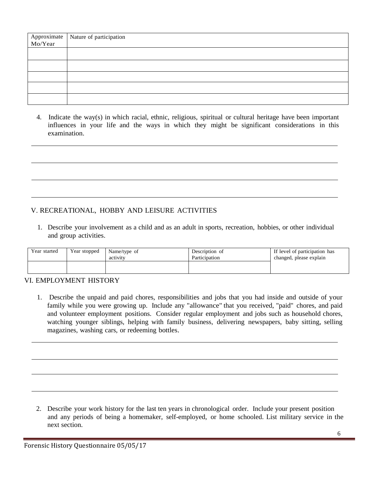| Approximate Nature of participation<br>Mo/Year |
|------------------------------------------------|
|                                                |
|                                                |
|                                                |
|                                                |
|                                                |
|                                                |
|                                                |
|                                                |
|                                                |

4. Indicate the way(s) in which racial, ethnic, religious, spiritual or cultural heritage have been important influences in your life and the ways in which they might be significant considerations in this examination.

# V. RECREATIONAL, HOBBY AND LEISURE ACTIVITIES

1. Describe your involvement as a child and as an adult in sports, recreation, hobbies, or other individual and group activities.

| Year started | Year stopped | Name/type of<br>activity | Description of<br>Participation | If level of participation has<br>changed, please explain |
|--------------|--------------|--------------------------|---------------------------------|----------------------------------------------------------|
|              |              |                          |                                 |                                                          |

## VI. EMPLOYMENT HISTORY

1. Describe the unpaid and paid chores, responsibilities and jobs that you had inside and outside of your family while you were growing up. Include any "allowance" that you received, "paid" chores, and paid and volunteer employment positions. Consider regular employment and jobs such as household chores, watching younger siblings, helping with family business, delivering newspapers, baby sitting, selling magazines, washing cars, or redeeming bottles.

2. Describe your work history for the last ten years in chronological order. Include your present position and any periods of being a homemaker, self-employed, or home schooled. List military service in the next section.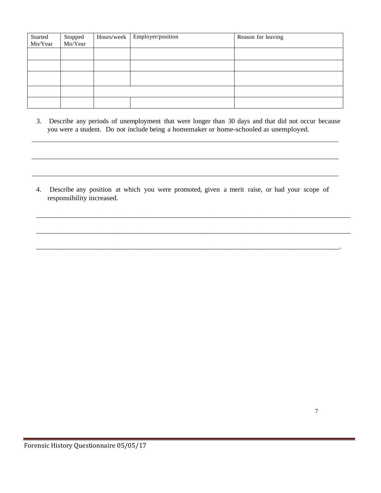| Started | Stopped | Hours/week Employer/position | Reason for leaving |
|---------|---------|------------------------------|--------------------|
| Mo/Year | Mo/Year |                              |                    |
|         |         |                              |                    |
|         |         |                              |                    |
|         |         |                              |                    |
|         |         |                              |                    |
|         |         |                              |                    |
|         |         |                              |                    |
|         |         |                              |                    |

3. Describe any periods of unemployment that were longer than 30 days and that did not occur because you were a student. Do not include being a homemaker or home-schooled as unemployed.

4. Describe any position at which you were promoted, given a merit raise, or had your scope of responsibility increased.

\_\_\_\_\_\_\_\_\_\_\_\_\_\_\_\_\_\_\_\_\_\_\_\_\_\_\_\_\_\_\_\_\_\_\_\_\_\_\_\_\_\_\_\_\_\_\_\_\_\_\_\_\_\_\_\_\_\_\_\_\_\_\_\_\_\_\_\_\_\_\_\_\_\_\_\_\_\_\_\_\_\_\_\_\_\_

\_\_\_\_\_\_\_\_\_\_\_\_\_\_\_\_\_\_\_\_\_\_\_\_\_\_\_\_\_\_\_\_\_\_\_\_\_\_\_\_\_\_\_\_\_\_\_\_\_\_\_\_\_\_\_\_\_\_\_\_\_\_\_\_\_\_\_\_\_\_\_\_\_\_\_\_\_\_\_\_\_\_\_\_\_\_

\_\_\_\_\_\_\_\_\_\_\_\_\_\_\_\_\_\_\_\_\_\_\_\_\_\_\_\_\_\_\_\_\_\_\_\_\_\_\_\_\_\_\_\_\_\_\_\_\_\_\_\_\_\_\_\_\_\_\_\_\_\_\_\_\_\_\_\_\_\_\_\_\_\_\_\_\_\_\_\_\_\_\_.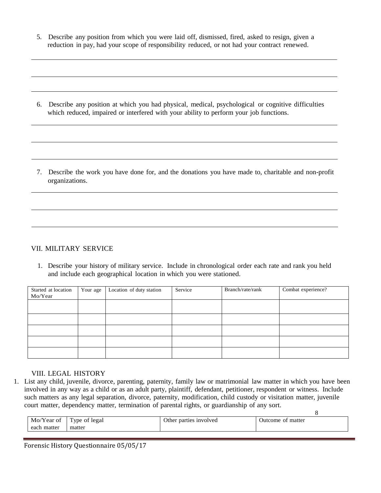5. Describe any position from which you were laid off, dismissed, fired, asked to resign, given a reduction in pay, had your scope of responsibility reduced, or not had your contract renewed.

6. Describe any position at which you had physical, medical, psychological or cognitive difficulties which reduced, impaired or interfered with your ability to perform your job functions.

7. Describe the work you have done for, and the donations you have made to, charitable and non-profit organizations.

## VII. MILITARY SERVICE

1. Describe your history of military service. Include in chronological order each rate and rank you held and include each geographical location in which you were stationed.

| Started at location<br>Mo/Year | Your age | Location of duty station | Service | Branch/rate/rank | Combat experience? |
|--------------------------------|----------|--------------------------|---------|------------------|--------------------|
|                                |          |                          |         |                  |                    |
|                                |          |                          |         |                  |                    |
|                                |          |                          |         |                  |                    |
|                                |          |                          |         |                  |                    |
|                                |          |                          |         |                  |                    |

#### VIII. LEGAL HISTORY

1. List any child, juvenile, divorce, parenting, paternity, family law or matrimonial law matter in which you have been involved in any way as a child or as an adult party, plaintiff, defendant, petitioner, respondent or witness. Include such matters as any legal separation, divorce, paternity, modification, child custody or visitation matter, juvenile court matter, dependency matter, termination of parental rights, or guardianship of any sort.

|             |                   |                        | $\cdot$              |
|-------------|-------------------|------------------------|----------------------|
| Mo/Year of  | of legal<br>l vpe | Other parties involved | of matter<br>Jutcome |
| each matter | matter            |                        |                      |
|             |                   |                        |                      |

8

Forensic History Questionnaire 05/05/17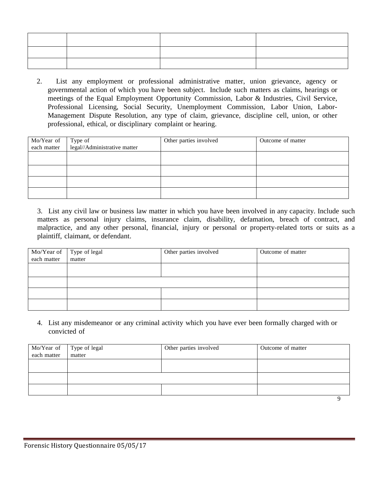2. List any employment or professional administrative matter, union grievance, agency or governmental action of which you have been subject. Include such matters as claims, hearings or meetings of the Equal Employment Opportunity Commission, Labor & Industries, Civil Service, Professional Licensing, Social Security, Unemployment Commission, Labor Union, Labor-Management Dispute Resolution, any type of claim, grievance, discipline cell, union, or other professional, ethical, or disciplinary complaint or hearing.

| Mo/Year of<br>each matter | Type of                      | Other parties involved | Outcome of matter |
|---------------------------|------------------------------|------------------------|-------------------|
|                           | legal//Administrative matter |                        |                   |
|                           |                              |                        |                   |
|                           |                              |                        |                   |
|                           |                              |                        |                   |
|                           |                              |                        |                   |
|                           |                              |                        |                   |

3. List any civil law or business law matter in which you have been involved in any capacity. Include such matters as personal injury claims, insurance claim, disability, defamation, breach of contract, and malpractice, and any other personal, financial, injury or personal or property-related torts or suits as a plaintiff, claimant, or defendant.

| Mo/Year of Type of legal<br>each matter matter | Other parties involved | Outcome of matter |
|------------------------------------------------|------------------------|-------------------|
|                                                |                        |                   |
|                                                |                        |                   |
|                                                |                        |                   |
|                                                |                        |                   |
|                                                |                        |                   |
|                                                |                        |                   |

4. List any misdemeanor or any criminal activity which you have ever been formally charged with or convicted of

| Mo/Year of Type of legal<br>each matter matter | Other parties involved | Outcome of matter |
|------------------------------------------------|------------------------|-------------------|
|                                                |                        |                   |
|                                                |                        |                   |
|                                                |                        |                   |
|                                                |                        |                   |
|                                                |                        |                   |
|                                                |                        |                   |
|                                                |                        |                   |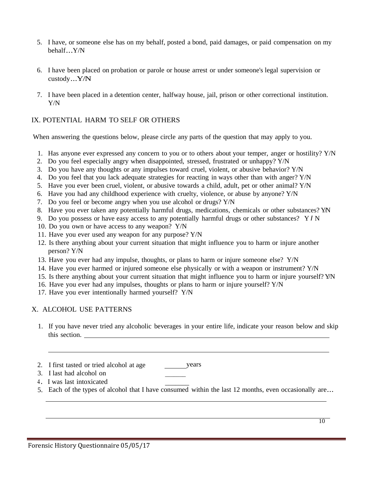- 5. I have, or someone else has on my behalf, posted a bond, paid damages, or paid compensation on my behalf...Y/N
- 6. I have been placed on probation or parole or house arrest or under someone's legal supervision or custody...Y/N
- 7. I have been placed in a detention center, halfway house, jail, prison or other correctional institution. Y/N

## IX. POTENTIAL HARM TO SELF OR OTHERS

When answering the questions below, please circle any parts of the question that may apply to you.

- 1. Has anyone ever expressed any concern to you or to others about your temper, anger or hostility? Y/N
- 2. Do you feel especially angry when disappointed, stressed, frustrated or unhappy? Y/N
- 3. Do you have any thoughts or any impulses toward cruel, violent, or abusive behavior? Y/N
- 4. Do you feel that you lack adequate strategies for reacting in ways other than with anger? Y/N
- 5. Have you ever been cruel, violent, or abusive towards a child, adult, pet or other animal? Y/N
- 6. Have you had any childhood experience with cruelty, violence, or abuse by anyone? Y/N
- 7. Do you feel or become angry when you use alcohol or drugs? Y/N
- 8. Have you ever taken any potentially harmful drugs, medications, chemicals or other substances? Y/N
- 9. Do you possess or have easy access to any potentially harmful drugs or other substances? Y *I* N
- 10. Do you own or have access to any weapon? Y/N
- 11. Have you ever used any weapon for any purpose? Y/N
- 12. Is there anything about your current situation that might influence you to harm or injure another person? Y/N
- 13. Have you ever had any impulse, thoughts, or plans to harm or injure someone else? Y/N
- 14. Have you ever harmed or injured someone else physically or with a weapon or instrument? Y/N
- 15. Is there anything about your current situation that might influence you to harm or injure yourself? Y/ N
- 16. Have you ever had any impulses, thoughts or plans to harm or injure yourself? Y/N
- 17. Have you ever intentionally harmed yourself? Y/N

#### X. ALCOHOL USE PATTERNS

- 1. If you have never tried any alcoholic beverages in your entire life, indicate your reason below and skip this section.
- 2. I first tasted or tried alcohol at age years
- 3. I last had alcohol on
- 4. I was last intoxicated
- 5. Each of the types of alcohol that I have consumed within the last 12 months, even occasionally are...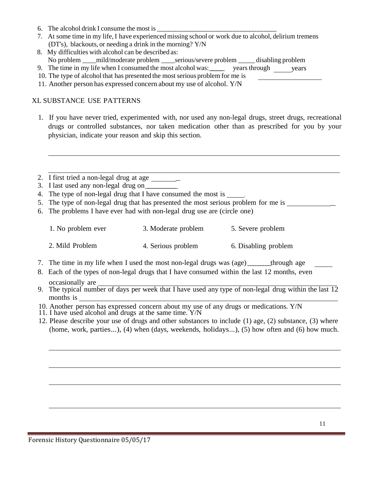- 6. The alcohol drink I consume the most is
- 7. At some time in my life,I have experienced missing school or work due to alcohol, delirium tremens (DT's), blackouts, or needing a drink in the morning? Y/N
- 8. My difficulties with alcohol can be described as: No problem \_\_\_\_mild/moderate problem \_\_\_\_serious/severe problem \_\_\_\_\_ disabling problem
- 9. The time in my life when I consumed the most alcohol was: years through vears
- 10. The type of alcohol that has presented the most serious problem for me is
- 11. Another person has expressed concern about my use of alcohol. Y/N

## XL SUBSTANCE USE PATTERNS

- 1. If you have never tried, experimented with, nor used any non-legal drugs, street drugs, recreational drugs or controlled substances, nor taken medication other than as prescribed for you by your physician, indicate your reason and skip this section.
- 2. I first tried a non-legal drug at age  $\qquad \qquad$
- 3. I last used any non-legal drug on\_\_\_\_\_\_\_\_\_\_\_\_\_\_\_
- 4. The type of non-legal drug that I have consumed the most is
- 5. The type of non-legal drug that has presented the most serious problem for me is \_
- 6. The problems I have ever had with non-legal drug use are (circle one)

| 1. No problem ever | 3. Moderate problem | 5. Severe problem |
|--------------------|---------------------|-------------------|
|                    |                     |                   |

- 2. Mild Problem 4. Serious problem 6. Disabling problem
- 7. The time in my life when I used the most non-legal drugs was (age)\_\_\_\_\_\_\_\_\_through age
- 8. Each of the types of non-legal drugs that I have consumed within the last 12 months, even occasionally are
- 9. The typical number of days per week that I have used any type of non-legal drug within the last 12 months is
- 10. Another person has expressed concern about my use of any drugs or medications. Y/N
- 11. I have used alcohol and drugs at the same time. Y/N
- 12. Please describe your use of drugs and other substances to include (1) age, (2) substance, (3) where (home, work, parties...), (4) when (days, weekends, holidays...), (5) how often and (6) how much.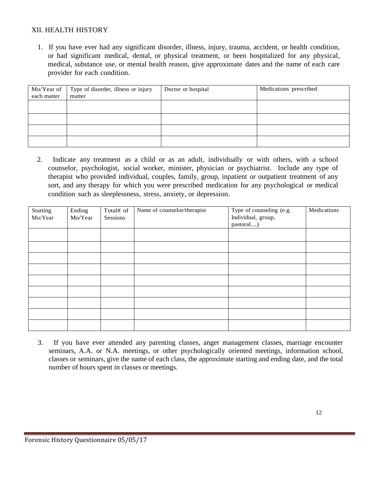## XII. HEALTH HISTORY

1. If you have ever had any significant disorder, illness, injury, trauma, accident, or health condition, or had significant medical, dental, or physical treatment, or been hospitalized for any physical, medical, substance use, or mental health reason, give approximate dates and the name of each care provider for each condition.

| Mo/Year of  | Type of disorder, illness or injury | Doctor or hospital | Medications prescribed |
|-------------|-------------------------------------|--------------------|------------------------|
| each matter | matter                              |                    |                        |
|             |                                     |                    |                        |
|             |                                     |                    |                        |
|             |                                     |                    |                        |
|             |                                     |                    |                        |
|             |                                     |                    |                        |

2. Indicate any treatment as a child or as an adult, individually or with others, with a school counselor, psychologist, social worker, minister, physician or psychiatrist. Include any type of therapist who provided individual, couples, family, group, inpatient or outpatient treatment of any sort, and any therapy for which you were prescribed medication for any psychological or medical condition such as sleeplessness, stress, anxiety, or depression.

| Starting | Ending  | Total# of | Name of counselor/therapist | Type of counseling (e.g. | Medications |
|----------|---------|-----------|-----------------------------|--------------------------|-------------|
| Mo/Year  | Mo/Year | Sessions  |                             | Individual, group,       |             |
|          |         |           |                             | pastoral)                |             |
|          |         |           |                             |                          |             |
|          |         |           |                             |                          |             |
|          |         |           |                             |                          |             |
|          |         |           |                             |                          |             |
|          |         |           |                             |                          |             |
|          |         |           |                             |                          |             |
|          |         |           |                             |                          |             |
|          |         |           |                             |                          |             |
|          |         |           |                             |                          |             |
|          |         |           |                             |                          |             |

3. If you have ever attended any parenting classes, anger management classes, marriage encounter seminars, A.A. or N.A. meetings, or other psychologically oriented meetings, information school, classes or seminars, give the name of each class, the approximate starting and ending date, and the total number of hours spent in classes or meetings.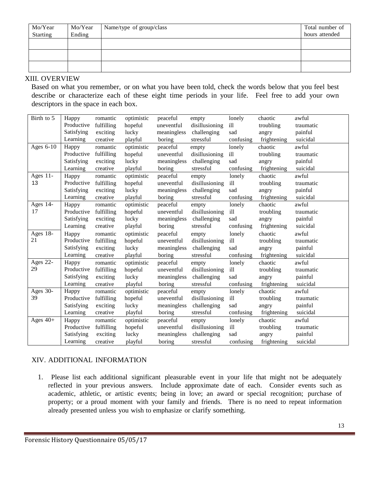| Mo/Year<br>Starting | Mo/Year<br>Ending | Name/type of group/class | Total number of<br>hours attended |
|---------------------|-------------------|--------------------------|-----------------------------------|
|                     |                   |                          |                                   |
|                     |                   |                          |                                   |
|                     |                   |                          |                                   |

#### XIII. OVERVIEW

Based on what you remember, or on what you have been told, check the words below that you feel best describe or characterize each of these eight time periods in your life. Feel free to add your own descriptors in the space in each box.

| Birth to 5  | Happy      | romantic   | optimistic | peaceful    | empty          | lonely    | chaotic     | awful     |
|-------------|------------|------------|------------|-------------|----------------|-----------|-------------|-----------|
|             | Productive | fulfilling | hopeful    | uneventful  | disillusioning | ill       | troubling   | traumatic |
|             | Satisfying | exciting   | lucky      | meaningless | challenging    | sad       | angry       | painful   |
|             | Learning   | creative   | playful    | boring      | stressful      | confusing | frightening | suicidal  |
| Ages 6-10   | Happy      | romantic   | optimistic | peaceful    | empty          | lonely    | chaotic     | awful     |
|             | Productive | fulfilling | hopeful    | uneventful  | disillusioning | ill       | troubling   | traumatic |
|             | Satisfying | exciting   | lucky      | meaningless | challenging    | sad       | angry       | painful   |
|             | Learning   | creative   | playful    | boring      | stressful      | confusing | frightening | suicidal  |
| Ages $11$ - | Happy      | romantic   | optimistic | peaceful    | empty          | lonely    | chaotic     | awful     |
| 13          | Productive | fulfilling | hopeful    | uneventful  | disillusioning | ill       | troubling   | traumatic |
|             | Satisfying | exciting   | lucky      | meaningless | challenging    | sad       | angry       | painful   |
|             | Learning   | creative   | playful    | boring      | stressful      | confusing | frightening | suicidal  |
| Ages 14-    | Happy      | romantic   | optimistic | peaceful    | empty          | lonely    | chaotic     | awful     |
| 17          | Productive | fulfilling | hopeful    | uneventful  | disillusioning | ill       | troubling   | traumatic |
|             | Satisfying | exciting   | lucky      | meaningless | challenging    | sad       | angry       | painful   |
|             | Learning   | creative   | playful    | boring      | stressful      | confusing | frightening | suicidal  |
| Ages 18-    | Happy      | romantic   | optimistic | peaceful    | empty          | lonely    | chaotic     | awful     |
| 21          | Productive | fulfilling | hopeful    | uneventful  | disillusioning | ill       | troubling   | traumatic |
|             | Satisfying | exciting   | lucky      | meaningless | challenging    | sad       | angry       | painful   |
|             | Learning   | creative   | playful    | boring      | stressful      | confusing | frightening | suicidal  |
| Ages 22-    | Happy      | romantic   | optimistic | peaceful    | empty          | lonely    | chaotic     | awful     |
| 29          | Productive | fulfilling | hopeful    | uneventful  | disillusioning | ill       | troubling   | traumatic |
|             | Satisfying | exciting   | lucky      | meaningless | challenging    | sad       | angry       | painful   |
|             | Learning   | creative   | playful    | boring      | stressful      | confusing | frightening | suicidal  |
| Ages $30-$  | Happy      | romantic   | optimistic | peaceful    | empty          | lonely    | chaotic     | awful     |
| 39          | Productive | fulfilling | hopeful    | uneventful  | disillusioning | ill       | troubling   | traumatic |
|             | Satisfying | exciting   | lucky      | meaningless | challenging    | sad       | angry       | painful   |
|             | Learning   | creative   | playful    | boring      | stressful      | confusing | frightening | suicidal  |
| Ages $40+$  | Happy      | romantic   | optimistic | peaceful    | empty          | lonely    | chaotic     | awful     |
|             | Productive | fulfilling | hopeful    | uneventful  | disillusioning | ill       | troubling   | traumatic |
|             | Satisfying | exciting   | lucky      | meaningless | challenging    | sad       | angry       | painful   |
|             | Learning   | creative   | playful    | boring      | stressful      | confusing | frightening | suicidal  |

# XIV. ADDITIONAL INFORMATION

1. Please list each additional significant pleasurable event in your life that might not be adequately reflected in your previous answers. Include approximate date of each. Consider events such as academic, athletic, or artistic events; being in love; an award or special recognition; purchase of property; or a proud moment with your family and friends. There is no need to repeat information already presented unless you wish to emphasize or clarify something.